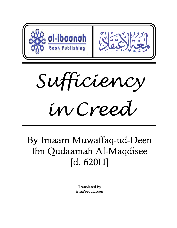

*Sufficiency in Creed*

# By Imaam Muwaffaq-ud-Deen Ibn Qudaamah Al-Maqdisee [d. 620H]

**Translated by isma'eel alarcon**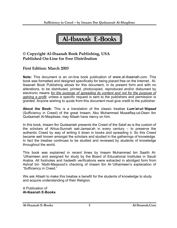Al-Ibaanah E-Books

## **© Copyright Al-Ibaanah Book Publishing, USA Published On-Line for Free Distribution**

## **First Edition: March 2003**

**Note:** This document is an on-line book publication of www.al-ibaanah.com. This book was formatted and designed specifically for being placed free on the Internet. Al-Ibaanah Book Publishing allows for this document, in its present form and with no alterations, to be distributed, printed, photocopied, reproduced and/or disbursed by electronic means *for the purpose of spreading its content and not for the purpose of gaining a profit,* unless a specific request is sent to the publishers and permission is granted. Anyone wishing to quote from this document must give credit to the publisher.

**About the Book:** This is a translation of the classic treatise *Lum'at-ul-'Itiqaad* (Sufficiency in Creed) of the great Imaam, Abu Muhammad Muwaffaq-ud-Deen Ibn Qudaamah Al-Maqdisee, may Allaah have mercy on him.

In this book, Imaam Ibn Qudaamah presents the Creed of the Salaf as is the custom of the scholars of Ahlus-Sunnah wal-Jamaa'ah in every century – to preserve the authentic Creed by way of writing it down in books and spreading it. So this Creed became well known amongst the scholars and studied in the gatherings of knowledge. In fact the treatise continues to be studied and reviewed by students of knowledge throughout the world.

This book was explained in recent times by Imaam Muhammad bin Saalih Al- 'Uthaimeen and assigned for study by the Board of Educational Institutes in Saudi Arabia. All footnotes and hadeeth verifications were extracted in abridged form from Ashraf bin 'Abdil-Maqsood's checking of Imaam Ibn Al-'Uthaimeen's explanation of "Sufficiency in Creed."

We ask Allaah to make this treatise a benefit for the students of knowledge to study and acquire understanding of their Religion.

A Publication of **Al-Ibaanah E-Books**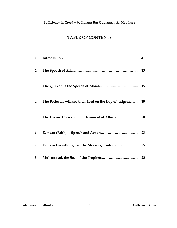# TABLE OF CONTENTS

| 1. |                                                              |           |
|----|--------------------------------------------------------------|-----------|
| 2. |                                                              |           |
| 3. |                                                              |           |
| 4. | The Believers will see their Lord on the Day of Judgement 19 |           |
| 5. | The Divine Decree and Ordainment of Allaah                   | <b>20</b> |
| 6. |                                                              |           |
| 7. |                                                              |           |
| 8. |                                                              |           |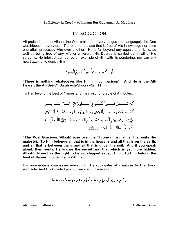## INTRODUCTION

All praise is due to Allaah, the One praised in every tongue (i.e. language), the One worshipped in every era. There is not a place that is free of His Knowledge nor does one affair preoccupy Him over another. He is far beyond any equals and rivals, as well as being free of any wife or children. His Decree is carried out in all of His servants. No intellect can derive an example of Him with its pondering, nor can any heart attempt to depict Him.



**"There is nothing whatsoever like Him (in comparison). And He is the All-Hearer, the All-Seer."** [Surah Ash-Shoora (42): 11]

To Him belong the best of Names and the most honorable of Attributes.

**"The Most Gracious (Allaah) rose over the Throne (in a manner that suits His majesty). To Him belongs all that is in the heavens and all that is on the earth, and all that is between them, and all that is under the soil. And if you speak aloud, then verily, He knows the secret and that which is yet more hidden. Allaah! None has the right to be worshipped except Him. To Him belong the best of Names."** [Surah TaHa (20): 5-8]

His knowledge encompasses everything. He subjugates all creatures by His Honor and Rule. And His knowledge and mercy engulf everything.

يَعْلَمُ مَا بَيَّنَ أَيُدِيهِمْ وَمَا خَلْفَهُمْ وَلَا يُحِيطُونَ بِهِۦ عِلْمًا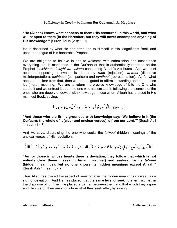**"He (Allaah) knows what happens to them (His creatures) in this world, and what will happen to them (in the Hereafter) but they will never encompass anything of His knowledge."** [Surah TaHa (20): 110]

He is described by what He has attributed to Himself in His Magnificent Book and upon the tongue of His honorable Prophet.

We are obligated to believe in and to welcome with submission and acceptance everything that is mentioned in the Qur'aan or that is authentically reported on the Prophet (*sallAllaahu 'alayhi wa sallam*) concerning Allaah's Attributes. And we must abandon opposing it (which is done) by *radd* (rejection), *ta'weel* (distortive misinterpretation), *tashbeeh* (comparison) and *tamtheel* (representation). As for what appears unclear from that, then we are obligated to affirm its wording and not oppose it's (literal) meaning. We are to return the precise knowledge of it to the One who stated it and we entrust it upon the one who transmitted it, following the example of the ones who are deeply endowed with knowledge, those whom Allaah has praised in His manifest Book, saying:

وَٱلرَّسِخُونَ فِى ٱلۡعِلۡم يَقُولُونَ ءَامَنَّا بِهِۦ كُلٌّ مِّنۡ عِندِ رَبِّنَاۗ

**"And those who are firmly grounded with knowledge say: 'We believe in it (the Qur'aan); the whole of it (clear and unclear verses) is from our Lord.'"** [Surah Aali 'Imraan (3): 7]

And He says, dispraising the one who seeks the *ta'weel* (hidden meaning) of the unclear verses of His revelation.

فَأَمَّا ٱلَّذِينَ فِي قُلُوبِهِمْ زَيُخٌ فَيَتَّبِعُونَ مَا تَشَنبَهَ مِنْهُ ٱبنَتِغَـآءَ وَٱبنَتِغَـآءَ تَـأُويلِهِـمٌّ وَمَا يَعْلَـمُ تَأُويلَـهُ ۚ وَالنَّاءُ اللَّـهِ ۗ

**"As for those in whose hearts there is deviation, they follow that which is not entirely clear thereof, seeking** *fitnah* **(mischief) and seeking for its** *ta'weel*  **(hidden meanings), but no one knows its hidden meanings except Allaah."**  [Surah Aali 'Imraan (3): 7]

Thus Allah has placed the aspect of seeking after the hidden meanings (*ta'weel*) as a sign of deviation. And He has placed it at the same level of seeking after mischief, in the dispraise of it. Then He placed a barrier between them and that which they aspire and He cuts off their ambitions from what they seek after, by saying: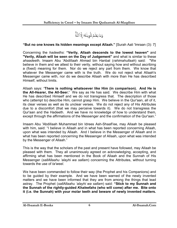وَمَا يَعۡلَمُ تَأُويلَهُۥٓ إِلَّا ٱللَّهِّ

#### **"But no one knows its hidden meanings except Allaah."** [Surah Aali 'Imraan (3): 7]

Concerning the *hadeeths*: **"Verily, Allaah descends to the lowest heaven"** and **"Verily, Allaah will be seen on the Day of Judgement"** and what is similar to these *ahaadeeth*, Imaam Abu 'Abdillaah Ahmad bin Hanbal (*rahimahullaah*) said: "We believe in them and we attest to their verity, without saying how and without ascribing a (fixed) meaning for them. Nor do we reject any part from them. We know that whatever the Messenger came with is the truth. We do not reject what Allaah's Messenger came with, nor do we describe Allaah with more than He has described Himself, without limits.

Allaah says: **'There is nothing whatsoever like Him (in comparison). And He is the All-Hearer, the All-Seer.'** We say as He has said. We describe Him with what He has described Himself and we do not transgress that. The description of those who (attempt to) describe Him, cannot grasp Him. We believe in the Qur'aan, all of it, its clear verses as well as its unclear verses. We do not reject any of His Attributes due to a discomfort (that we may perceive towards it). We do not transgress the Qur'aan and the Hadeeth. And we have no knowledge of how to understand them, except through the affirmations of the Messenger and the confirmation of the Qur'aan."

Imaam Abu 'Abdillaah Muhammad bin Idrees Ash-Shaafi'ee, may Allaah be pleased with him, said: "I believe in Allaah and in what has been reported concerning Allaah, upon what was intended by Allaah. And I believe in the Messenger of Allaah and in what has been reported concerning the Messenger of Allaah, upon what was intended by the Messenger of Allaah."

This is the way that the scholars of the past and present have followed, may Allaah be pleased with them. They all unanimously agreed on acknowledging, accepting, and affirming what has been mentioned in the Book of Allaah and the Sunnah of His Messenger (*sallAllaahu 'alayhi wa sallam*) concerning the Attributes, without turning towards the use of *ta'weel*.

We have been commanded to follow their way (the Prophet and his Companions) and to be guided by their example. And we have been warned of the newly invented matters and we have been informed that they are from among the things that lead astray. The Prophet (*sallAllaahu 'alayhi wa sallam*) said: **"Stick to my Sunnah and the Sunnah of the rightly-guided** *Khaleefahs* **(who will come) after me. Bite onto it (i.e. the Sunnah) with your molar teeth and beware of newly invented matters.**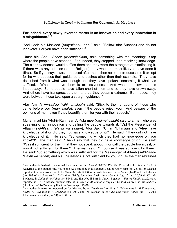#### **For indeed, every newly invented matter is an innovation and every innovation is a misguidance."** <sup>1</sup>

'Abdullaah bin Mas'ood (*radyAllaahu 'anhu*) said: "Follow (the Sunnah) and do not innovate! For you have been sufficed."<sup>2</sup>

'Umar bin 'Abd-il-'Azeez (*rahimahullaah*) said something with the meaning: "Stop where the people have stopped! For, indeed, they stopped upon receiving knowledge. The clear evidences would suffice them and they were the strongest at manifesting it. If there were any addition (to the Religion), they would be most likely to have done it (first). So if you say: it was introduced after them, then no one introduces into it except for he who opposes their guidance and desires other than their example. They have described from it what was enough and they have spoken concerning it what has sufficed. What is above them is excessiveness. And what is below them is inadequacy. Some people have fallen short of them and so they have drawn away. And others have transgressed them and so they became extreme. But indeed, they were between these two, upon a straight guidance."

Abu 'Amr Al-Awzaa'ee (*rahimahullaah*) said: "Stick to the narrations of those who came before you (*man salafa*), even if the people reject you. And beware of the opinions of men, even if they beautify them for you with their speech."

Muhammad bin 'Abd-ir-Rahmaan Al-Adarmee (*rahimahullaah*) said to a man who was speaking of an innovation and calling the people towards it: "Did the Messenger of Allaah (*sallAllaahu 'alayhi wa sallam*), Abu Bakr, 'Umar, 'Uthmaan and 'Alee have knowledge of it or did they not have knowledge of it?" He said: "They did not have knowledge of it." He said: "So something which they had no knowledge of, you know!?!" The man said: "Then I say that they did have knowledge of it!" He said: "Was it sufficient for them that they not speak about it nor call the people towards it, or was it not sufficient for them?" The man said: "Of course it was sufficient for them." He said: "So something which was sufficient for the Messenger of Allaah (*sallAllaahu 'alayhi wa sallam*) and his *Khaleefahs* is not sufficient for you!?!" So the man refrained

<sup>&</sup>lt;sup>1</sup> An authentic hadeeth transmitted by Ahmad in his *Musnad* (4/126-127), Abu Dawood in his *Sunan*: Book of Adhering to the Sunnah (no. 4607) and At-Tirmidhee in his *Sunan*: Book of Knowledge (no. 2676). Ibn Maajah reported it in the introduction to his *Sunan* (no. 42 & 43) as did Ad-Daarimee in his *Sunan* (1/44) and Ibn Hibbaan (no. 102 of *Al-Mawaarid*). Al-Haakim (1/97), Ibn Abee 'Aasim in *As-Sunnah* (pg. 17, no. 20,29 & 30), Al-Bayhaqee in *Dalaa'il-un-Nubuwah* (6/541) and Ibn 'Abd-il-Barr in *Jaami' Bayaan-il-'Ilm wa Fadlihi* (1/222) also reported it. Al-Albaanee authenticated it in *Saheeh Al-Jaami'-us-Sagheer* (2/346) as well as his *takhreej* (checking) of *As-Sunnah* by Ibn Abee 'Aasim (pg. 29-30). 2

 $^2$  An authentic narration reported on Ibn Mas'ood by Ad-Daarimee (no. 211), At-Tabaraanee in *Al-Kabeer* (no. 8870), Al-Bayhaqee in *Al-Madkhal* (no. 204), and Ibn Wadaah in *Al-Bid'a wan-Nahee 'anhaa* (pg. 10), Abu Khaithama in *Al-'Ilm* (no. 54) and others.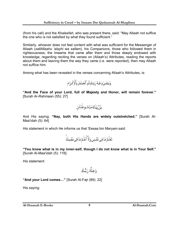(from his call) and the *Khaleefah*, who was present there, said: "May Allaah not suffice the one who is not satisfied by what they found sufficient."

Similarly, whoever does not feel content with what was sufficient for the Messenger of Allaah (*sallAllaahu 'alayhi wa sallam*), his Companions, those who followed them in righteousness, the Imaams that came after them and those deeply endowed with knowledge, regarding reciting the verses on (Allaah's) Attributes, reading the reports about them and leaving them the way they came (i.e. were reported), then may Allaah not suffice him.

Among what has been revealed in the verses concerning Allaah's Attributes, is:



**"And the Face of your Lord, full of Majesty and Honor, will remain forever."** [Surah Ar-Rahmaan (55): 27]

بَلۡ یَدَاهُۥمَبۡسُـوطَتَان

And His saying: **"Nay, both His Hands are widely outstretched."** [Surah Al-Maa'idah (5): 64]

His statement in which He informs us that 'Eesaa bin Maryam said:

تَعْلَمُ مَا فِي نَفْسِي وَلَآ أَعْلَمُ مَا فِي نَفْسِكَۚ

**"You know what is in my inner-self, though I do not know what is in Your Self."** [Surah Al-Maa'idah (5): 116]

His statement:

**"And your Lord comes…"** [Surah Al-Fajr (89): 22]

His saying: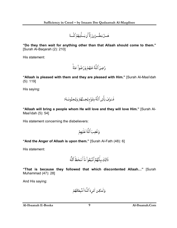هَـــلٌ يَنظُـــرُونَ إِلَّا أَن يَـــأُتِيَهُمُ ٱللَّـــهُ

**"Do they then wait for anything other than that Allaah should come to them."**  [Surah Al-Baqarah (2): 210]

His statement:

رَّضِىَ ٱللَّهُ عَنَّهُمَّ وَرَضُواْ عَنَّهُۚ

**"Allaah is pleased with them and they are pleased with Him."** [Surah Al-Maa'idah (5): 119]

His saying:

فَسَوُفَ يَأْتِي ٱللَّهُ بِقَوَّم يُحِــبُّهُمَّ وَيُحِبُّونَــهُ ٓ

**"Allaah will bring a people whom He will love and they will love Him."** [Surah Al-Maa'idah (5): 54]

His statement concerning the disbelievers:

#### **"And the Anger of Allaah is upon them."** [Surah Al-Fath (48): 6]

His statement:

**"That is because they followed that which discontented Allaah…"** [Surah Muhammad (47): 28]

And His saying: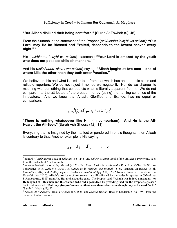**"But Allaah disliked their being sent forth."** [Surah At-Tawbah (9): 46]

From the Sunnah is the statement of the Prophet (*sallAllaahu 'alayhi wa sallam*): **"Our Lord, may He be Blessed and Exalted, descends to the lowest heaven every night."** <sup>3</sup>

His (*sallAllaahu 'alayhi wa sallam*) statement: **"Your Lord is amazed by the youth who does not possess childish manners."** <sup>4</sup>

And his (*sallAllaahu 'alayhi wa sallam*) saying: **"Allaah laughs at two men – one of whom kills the other, then they both enter Paradise."** <sup>5</sup>

We believe in this and what is similar to it, from that which has an authentic chain and reliable reporters. We do not reject it nor do we negate it. Nor do we change its meaning with something that contradicts what is literally apparent from it. We do not compare it to the attributes of the creation nor by (using) the naming schemes of the innovators. And we know that Allaah, Glorified and Exalted, has no equal or comparison.

لَيَّسَ كَمِثّْلِهِۦ شَئٌمٌّ وَهُوَ ٱلْسَّمِيعُ ٱلۡبَصِيرُ

**"There is nothing whatsoever like Him (in comparison). And He is the All-Hearer, the All-Seer."** [Surah Ash-Shoora (42): 11]

Everything that is imagined by the intellect or pondered in one's thoughts, then Allaah is contrary to that. Another example is His saying:

ٱلرَّحَّـــمَـٰنُ عَلَـــىٱلْعَـــرُش ٱسْـــتَوَىٰ

 $\overline{a}$ <sup>3</sup> *Saheeh Al-Bukhaaree*: Book of *Tahajjud* (no. 1145) and *Saheeh Muslim*: Book of the Traveler's Prayer (no. 758) from the hadeeth of Abu Hurairah.

<sup>4</sup> A weak hadeeth reported by Ahmad (4/151), Ibn Abee 'Aasim in *As-Sunnah* (571), Abu Ya'laa (1479), At-Tabaraanee in *Al-Kabeer* (17/309), *Al-Qadaa'*ee in *Musnad ash-Shihaab* (576), Tamaam Ar-Raazee in his *Fawaa'id* (1287) and Al-Bayhaqee in *Al-Asmaa was-Sifaat* (pg. 600). Al-Albaanee declared it weak in *Ad-Da'eefah* (no. 2426). Allaah's Attribute of Amazement is still affirmed by the hadeeth reported in *Saheeh Al-Bukhaaree* (no. 4889) from Abu Hurairah about the guest. The Prophet said: **"Allaah was indeed amazed at – or He laughed at – this man and this woman (who did a good deed by providing food for the Prophet's guest)."**  So Allaah revealed: **"But they give preference to others over themselves, even though they had a need for it."** [Surah Al-Hashr (59): 9]

<sup>5</sup> *Saheeh Al-Bukhaaree*: Book of *Jihaad* (no. 2826) and *Saheeh Muslim*: Book of Leadership (no. 1890) from the hadeeth of Abu Hurairah.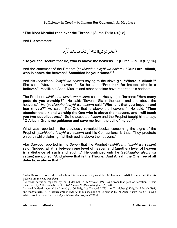**"The Most Merciful rose over the Throne."** [Surah TaHa (20): 5]

And His statement:

ءَأَمِنتُم مَّن فِي ٱلسَّمَآءِ أَن يَخۡسِفَ بِكُمُ ٱلۡأَرۡضَ

**"Do you feel secure that He, who is above the heavens…"** [Surah Al-Mulk (67): 16]

And the statement of the Prophet (*sallAllaahu 'alayhi wa sallam*): **"Our Lord, Allaah, who is above the heavens! Sanctified be your Name."** <sup>6</sup>

And his (*sallAllaahu 'alayhi wa sallam*) saying to the slave girl: **"Where is Allaah?"**  She said: "Above the heavens." So he said: **"Free her, for indeed, she is a believer."** Maalik bin Anas, Muslim and other scholars have reported this hadeeth.

The Prophet (*sallAllaahu 'alayhi wa sallam*) said to Husayn (bin 'Imraan): **"How many gods do you worship?"** He said: "Seven. Six in the earth and one above the heavens." He (*sallAllaahu 'alayhi wa sallam*) said **"Who is it that you hope in and fear (most)?"** He said: "The One that is above the heavens." He said: **"Then abandon the six and worship the One who is above the heavens, and I will teach you two supplications."** So he accepted *Islaam* and the Prophet taught him to say: **"O Allaah, Grant me guidance and save me from the evil of my self."** <sup>7</sup>

What was reported in the previously revealed books, concerning the signs of the Prophet (*sallAllaahu 'alayhi wa sallam*) and his Companions, is that: "They prostrate on earth while claiming that their god is above the heavens."

Abu Dawood reported in his *Sunan* that the Prophet (*sallAllaahu 'alayhi wa sallam*) said: **"Indeed what is between one level of heaven and (another) level of heaven is a distance of such and such…"** He continued until he (*sallAllaahu 'alayhi wa sallam*) mentioned: **"And above that is the Throne. And Allaah, the One free of all defects, is above that."** <sup>8</sup>

<sup>&</sup>lt;sup>6</sup> Abu Dawood reported this hadeeth and in its chain is Ziyaadah bin Muhammad. Al-Bukhaaree said that his hadeeth are rejected (*munkar*). 7

<sup>&</sup>lt;sup>7</sup> A weak narration reported by Ibn Qudaamah in  $Al$ -'Uluww (19). And from that path of narration, it was mentioned by Adh-Dhahabee in his *Al-'Uluww Lil-'Alee-il-Ghafaar* (23, 24).

 $8$  A weak hadeeth reported by Ahmad (1/206-207), Abu Dawood (4723), At-Tirmidhee (3320), Ibn Maajah (193) and many others. Al-Albaanee graded it *da'eef* in his checking of *As-Sunnah* by Ibn Abee 'Aasim (no. 577) as did Al-Arna'oot in his notes to *Al-'Aqeedat-ut-Tahaawiyyah* (2/365).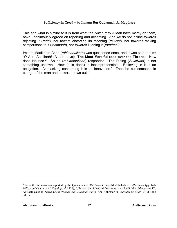This and what is similar to it is from what the *Salaf*, may Allaah have mercy on them, have unanimously agreed on reporting and accepting. And we do not incline towards rejecting it (*radd*), nor toward distorting its meaning (*ta'weel*), nor towards making comparisons to it (*tashbeeh*), nor towards likening it (*tamtheel*).

Imaam Maalik bin Anas (*rahimahullaah*) was questioned once, and it was said to him: "O Abu 'Abdillaah! (Allaah says): **'The Most Merciful rose over the Throne.'** How does He rise?" So he (*rahimahullaah*) responded: "The Rising (*Al-Istiwaa*) is not something unkown. How (it is done) is incomprehensible. Believing in it is an obligation. And asking concerning it is an innovation." Then he put someone in charge of the man and he was thrown out. <sup>9</sup>

 $\overline{a}$ 9 An authentic narration reported by Ibn Qudaamah in *Al-'Uluww* (104), Adh-Dhahabee in *Al-'Uluww* (pg. 141- 142), Abu Nu'aim in *Al-Hilyah* (6/325-326), 'Uthmaan bin Sa'eed ad-Daarimee in *Ar-Radd 'alal-Jahmiyyah* (55), Al-Laalikaa'ee in *Sharh Usool 'Itiqaad Ahl-is-Sunnah* (664), Abu 'Uthmaan in *'Aqeedat-us-Salaf* (24-26) and others.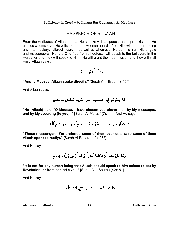# THE SPEECH OF ALLAAH

From the Attributes of Allaah is that He speaks with a speech that is pre-existent. He causes whomsoever He wills to hear it. Moosaa heard it from Him without there being any intermediary. Jibreel heard it, as well as whomever He permits from His angels and messengers. He, the One free from all defects, will speak to the believers in the Hereafter and they will speak to Him. He will grant them permission and they will visit Him. Allaah says:

وَكَلَّمَ ٱللَّـهُ مُوسَـىٰ تَكُلِيمًا

**"And to Moosaa, Allaah spoke directly."** [Surah An-Nisaa (4): 164]

And Allaah says:

قَالَ يَـٰمُوسَىٰٓ إِنِّى ٱصْطَفَيْتُكَ عَلَى ٱلنَّاسِ بِرِسَنلَنتِي وَبِـكَلَنمِي

**"He (Allaah) said: 'O Moosaa, I have chosen you above men by My messages, and by My speaking (to you).'"** [Surah Al-A'araaf (7): 144] And He says:

تِلْـكَ ٱلرُّسُـلُ فَضَّلْنَـا بَعْضَهُـمُ عَلَـىٰ بَعْـضٍۘ مِّنْهُـم مَّـن كَـلَّمَ ٱللَّـهِّ

**"Those messengers! We preferred some of them over others; to some of them Allaah spoke (directly)."** [Surah Al-Baqarah (2): 253]

And He says:

وَمَا كَانَ لِبَشَرٍ أَن يُكَلِّمَهُ ٱللَّهُ إِلَّا وَحُيًا أَوُ مِن وَرَآىٍ حِجَابٍ

**"It is not for any human being that Allaah should speak to him unless (it be) by Revelation, or from behind a veil."** [Surah Ash-Shuraa (42): 51]

And He says:

فَلَمَّاۤ أَتَنهَا ذُودِىَ يَـٰمُوسَىٰٓ ۞ إِنِّيٓ أَنَاْ رَبُّكَ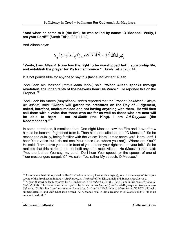**"And when he came to it (the fire), he was called by name: 'O Moosaa! Verily, I am your Lord!'"** [Surah TaHa (20): 11-12]

And Allaah says:

إِنَّنِيّ أَنَا ٱللَّهُ لَآ إِلَـٰهَ إِلَّآ أَنَاْ فَاَعُبُدُنِي وَأَقِم ٱلصَّلَوٰةَ لِذِكُرِيّ

**"Verily, I am Allaah! None has the right to be worshipped but I, so worship Me, and establish the prayer for My Remembrance."** [Surah TaHa (20): 14]

It is not permissible for anyone to say this (last *ayah*) except Allaah.

'Abdullaah bin Mas'ood (*radyAllaahu 'anhu*) said: **"When Allaah speaks through revelation, the inhabitants of the heavens hear His Voice."** He reported this on the Prophet.<sup>10</sup>

'Abdullaah bin Anees (*radyAllaahu 'anhu*) reported that the Prophet (*sallAllaahu 'alayhi wa sallam*) said: **"Allaah will gather the creatures on the Day of Judgement, naked, barefoot, uncircumcised and not having anything with them. He will then call them with a voice that those who are far as well as those who are near will be able to hear: 'I am** *Al-Malik* **(the King). I am** *Ad-Dayyaan* **(the Recompenser).'"**<sup>11</sup>

In some narrations, it mentions that: One night Moosaa saw the Fire and it overthrew him so he became frightened from it. Then his Lord called to him: "O Moosaa!" So he responded quickly, being familiar with the voice: "Here I am to serve you! Here I am! I hear Your voice but I do not see Your place (i.e. where you are). Where are You?" He said: "I am above you and in front of you and on your right and on your left." So he realized that this attribute did not befit anyone except Allaah. He (Moosaa) then said: "You are just as You say, my Lord. Do I hear Your speech or the speech of one of Your messengers (angels)?" He said: "No, rather My speech, O Moosaa."

<sup>&</sup>lt;sup>10</sup> An authentic hadeeth reported on Ibn Mas'ood in *mawqoof* form (as his saying), as well as in *marfoo'* form (as a saying of the Prophet) in *Saheeh Al-Bukhaaree, At-Tawheed* of Ibn Khuzaimah and *Sunan Abee Dawood*.

<sup>&</sup>lt;sup>11</sup> A good (hasan) hadeeth reported by Al-Bukhaaree in his Saheeh (1/173), (13/453) and in his book Al-Adab-ul-*Mufrad* (970). The hadeeth was also reported by Ahmad in his *Musnad* (3/495), Al-Bayhaqee in *Al-Asmaa was-Sifaat* (pg. 78-79), Ibn Abee 'Aasim in *As-Sunnah* (pg. 514) and Al-Haakim in *Al-Mustadrak* (2/437/574-575) who authenticated it, and Adh-Dhahabee agreed. Al-Albaanee said in his checking to *As-Sunnah* (514): "It is an authentic hadeeth."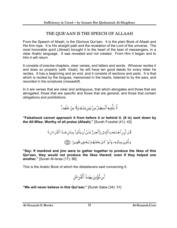# THE QUR'AAN IS THE SPEECH OF ALLAAH

From the Speech of Allaah, is the Glorious Qur'aan. It is the plain Book of Allaah and His firm rope. It is His straight path and the revelation of the Lord of the universe. The most honorable spirit (Jibreel) brought it to the heart of the best of messengers, in a clear Arabic language. It was revealed and not created. From Him it began and to Him it will return.

It consists of precise chapters, clear verses, and letters and words. Whoever recites it and does so properly (with *'Iraab*), he will have ten good deeds for every letter he recites. It has a beginning and an end, and it consists of sections and parts. It is that which is recited by the tongues, memorized in the hearts, listened to by the ears, and recorded in the scriptures (*masaahif*).

In it are verses that are clear and ambiguous, that which abrogates and those that are abrogated, those that are specific and those that are general, and those that contain obligations and prohibitions.

لَّا يَأْتِيهِ ٱلْبَنظِلُ مِنْ بَيْنِ يَدَيْهِ وَلَا مِنْ خَلْفِهِ ۖ

**"Falsehood cannot approach it from before it or behind it. (It is) sent down by the All-Wise, Worthy of all praise (Allaah)."** [Surah Fussilat (41): 42]

> قُـل لَّبِـن ٱجْـتَمَعَتِ ٱلْإِنسُ وَٱلۡجِـنُّ عَلَـىٰٓ أَن يَأۡتُواْ بِمِثۡلِ هَـنذَا ٱلۡقُرۡءَانِ لَا يَـأَتُونَ بِمِثْلِهِۦ وَلَـوٌ كَانَ بَعُضُهُمُ لِبَعُضٍ ظَهِـيرًا ۞

**"Say: If mankind and jinn were to gather together to produce the likes of this Qur'aan, they would not produce the likes thereof, even if they helped one another."** [Surah Al-Israa (17): 88]

This is the Arabic Book of which the disbelievers said concerning it:

لَن نُّؤُمِنَ بِهَدْنَا ٱلْقُرْءَانِ

**"We will never believe in this Qur'aan."** [Surah Saba (34): 31]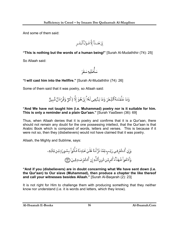And some of them said:

$$
\textcolor{red}{\bigcup_{i=1}^{n}}\textcolor{red}{\widetilde{\mathbb{E}}_i\textcolor{red}{\widetilde{\mathbb{E}}_i\textcolor{red}{\widetilde{\mathbb{E}}_i\textcolor{red}{\widetilde{\mathbb{E}}_i\textcolor{red}{\widetilde{\mathbb{E}}_i\textcolor{red}{\widetilde{\mathbb{E}}_i\textcolor{red}{\widetilde{\mathbb{E}}_i\textcolor{red}{\widetilde{\mathbb{E}}_i\textcolor{red}{\widetilde{\mathbb{E}}_i\textcolor{red}{\widetilde{\mathbb{E}}_i\textcolor{red}{\widetilde{\mathbb{E}}_i\textcolor{red}{\widetilde{\mathbb{E}}_i\textcolor{red}{\widetilde{\mathbb{E}}_i\textcolor{red}{\widetilde{\mathbb{E}}_i\textcolor{red}{\widetilde{\mathbb{E}}_i\textcolor{red}{\widetilde{\mathbb{E}}_i\textcolor{red}{\widetilde{\mathbb{E}}_i\textcolor{red}{\widetilde{\mathbb{E}}_i\textcolor{red}{\widetilde{\mathbb{E}}_i\textcolor{red}{\widetilde{\mathbb{E}}_i\textcolor{red}{\widetilde{\mathbb{E}}_i\textcolor{red}{\widetilde{\mathbb{E}}_i\textcolor{red}{\widetilde{\mathbb{E}}_i\textcolor{red}{\widetilde{\mathbb{E}}_i\textcolor{red}{\widetilde{\mathbb{E}}_i\textcolor{red}{\widetilde{\mathbb{E}}_i\textcolor{red}{\widetilde{\mathbb{E}}_i\textcolor{red}{\widetilde{\mathbb{E}}_i\textcolor{red}{\widetilde{\mathbb{E}}_i\textcolor{red}{\widetilde{\mathbb{E}}_i\textcolor{red}{\widetilde{\mathbb{E}}_i\textcolor{red}{\widetilde{\mathbb{E}}_i\textcolor{red}{\widetilde{\mathbb{E}}_i\textcolor{red}{\widetilde{\mathbb{E}}_i\textcolor{red}{\widetilde{\mathbb{E}}_i\textcolor{red}{\widetilde{\mathbb{E}}_i\textcolor{red}{\widetilde{\mathbb{E}}_i\textcolor{red}{\widetilde{\mathbb{E}}_i\textcolor{red}{\widetilde{\mathbb{E}}_i\textcolor{red}{\widetilde{\mathbb{E}}_i\textcolor{red}{\widetilde{\mathbb{E}}_i\textcolor{red
$$

**"This is nothing but the words of a human being!"** [Surah Al-Mudaththir (74): 25]

So Allaah said:

شأَصُلبه شقَن

**"I will cast him into the Hellfire."** [Surah Al-Mudaththir (74): 26]

Some of them said that it was poetry, so Allaah said:

وَمَا عَلَّمُنَـٰهُ ٱلشِّعۡرَ وَمَا يَنۡبَغِى لَهُۥٓۚ إِنۡ هُوَ إِلَّا ذِكۡنٌ وَقُرۡءَانٌ مُّبِينٌ

#### **"And We have not taught him (i.e. Muhammad) poetry nor is it suitable for him. This is only a reminder and a plain Qur'aan."** [Surah YaaSeen (36): 69]

Thus, when Allaah denies that it is poetry and confirms that it is a Qur'aan, there should not remain any doubt for the one possessing intellect, that the Qur'aan is that Arabic Book which is composed of words, letters and verses. This is because if it were not so, then they (disbelievers) would not have claimed that it was poetry.

Allaah, the Mighty and Sublime, says:

**"And if you (disbelievers) are in doubt concerning what We have sent down (i.e. the Qur'aan) to Our slave (Muhammad), then produce a chapter the like thereof and call your witnesses besides Allaah."** [Surah Al-Baqarah (2): 23]

It is not right for Him to challenge them with producing something that they neither know nor understand (i.e. it is words and letters, which they know).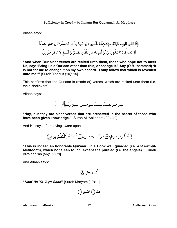Allaah says:

**"And when Our clear verses are recited unto them, those who hope not to meet Us, say: 'Bring us a Qur'aan other than this, or change it.' Say (O Muhammad) 'It is not for me to change it on my own accord. I only follow that which is revealed unto me.'"** [Surah Yoonus (10): 15]

This confirms that the Qur'aan is (made of) verses, which are recited unto them (i.e. the disbelievers).

Allaah says:

بَــــلُ هُـــــوَ ءَايَــــــتُّ بَيِّنَــــتٌّ فِـــى صُــــدُور ٱلَّـــذِينَ أُوتُــــواْ ٱلْفِلْــــــمَّ

**"Nay, but they are clear verses that are preserved in the hearts of those who have been given knowledge."** [Surah Al-'Ankaboot (29): 49]

And He says after having sworn upon it:

إِنَّـهُۥ لَقُـرُءَانٌ كَـرِيمٌ ۞ فِـي كِـتَـٰبِ مَّكُنُـونِ ۞ لَّا يَمَسُّـهُۥٓ إِلَّا ٱلْمُطَهَّرُونَ ۞

**"This is indeed an honorable Qur'aan. In a Book well guarded (i.e.** *Al-Lawh-ul-Mahfoodh***), which none can touch, except the purified (i.e. the angels)."** [Surah Al-Waaqi'ah (56): 77-79]

And Allaah says:

گُـــهيغَضْ ۞

**"***Kaaf-Ha-Ya-'Ayn-Saad***"** [Surah Maryam (19): 1]

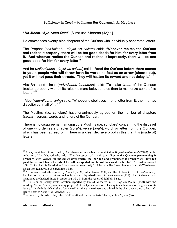#### **"***Ha-Meem. 'Ayn-Seen-Qaaf***"** [Surat-ush-Shooraa (42): 1]

He commences twenty-nine chapters of the Qur'aan with individually separated letters.

The Prophet (*sallAallaahu 'alayhi wa sallam*) said: **"Whoever recites the Qur'aan and recites it properly, there will be ten good deeds for him, for every letter from it. And whoever recites the Qur'aan and recites it improperly, there will be one good deed for him for every letter."** <sup>12</sup>

And he (*sallAallaahu 'alayhi wa sallam*) said: **"Read the Qur'aan before there comes to you a people who will throw forth its words as fast as an arrow (shoots out), yet it will not pass their throats. They will hasten its reward and not delay it."** <sup>13</sup>

Abu Bakr and 'Umar (*radyAllaahu 'anhumaa*) said: "To make *'Iraab* of the Qur'aan (recite it properly with all its rules) is more beloved to us than to memorize some of its letters."<sup>14</sup>

'Alee (*radyAllaahu 'anhu*) said: "Whoever disbelieves in one letter from it, then he has disbelieved in all of it." <sup>15</sup>

The Muslims (i.e. scholars) have unanimously agreed on the number of chapters (*suwar*), verses, words and letters of the Qur'aan.

There is no disagreement amongst the Muslims (i.e. scholars) concerning the disbelief of one who denies a chapter (*surah*), verse (*ayah*), word, or letter from the Qur'aan, which has been agreed on. There is a clear decisive proof in this that it is (made of) letters.

 $\overline{a}$ 12 A very weak hadeeth reported by At-Tabaraanee in *Al-Awsat* as is stated in *Majma'-uz-Zawaa'id* (7/163) on the authority of Ibn Mas'ood who said: "The Messenger of Allaah said: **'Recite the Qur'aan pronouncing it properly (with** *'Iraab***), for indeed whoever recites the Qur'aan and pronounces it properly will have ten good deeds. And ten evil deeds of his will be expiated and he will be raised ten levels.**'" Al-Haythamee said of it: "In its chain is Nuhshal and he is rejected (*matrook*)." Nuhshal is Ibn Sa'eed bin Wardaan Al-Wardaanee. Ishaaq Ibn Raahawaih declared him a liar.

<sup>&</sup>lt;sup>13</sup> An authentic hadeeth reported by Ahmad (5/338), Abu Dawood (831) and Ibn Hibbaan (1876 of *Al-Mawaarid*). Its chain of narration is *saheeh* as has been stated by Al-Albaanee in *As-Saheehah* (259). Ibn Qudaamah also mentioned the hadeeth in *Al-Burhaan* (pg. 35-36) from the report of Sahl bin Sa'ad.<br><sup>14</sup> This is an extremely weak narration reported by Ibn Al-Anbaaree in *Al-Waqf wal-Ibtidaa* (1/20) with the

wording: "Some *'Iraab* (pronouncing properly) of the Qur'aan is more pleasing to us than memorizing some of its letters." Its chain is *da'eef jiddan* (very weak) for there is weakness and a break in its chain, according to Badr Al-<br>Badr's notes to *Lumu'at-ul-'Itiqaad* (19).

<sup>&</sup>lt;sup>15</sup> Reported by Ibn Abee Shaybah (10/513-514) and Ibn Jareer (At-Tabaree) in his *Tafseer* (56).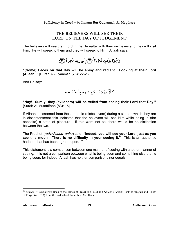### THE BELIEVERS WILL SEE THEIR LORD ON THE DAY OF JUDGEMENT

The believers will see their Lord in the Hereafter with their own eyes and they will visit Him. He will speak to them and they will speak to Him. Allaah says:



**"(Some) Faces on that Day will be shiny and radiant. Looking at their Lord (Allaah)."** [Surah Al-Qiyaamah (75): 22-23]

And He says:



**"Nay! Surely, they (evildoers) will be veiled from seeing their Lord that Day."**  [Surah Al-Mutaffifeen (83): 15]

If Allaah is screened from these people (disbelievers) during a state in which they are in discontentment this indicates that the believers will see Him while being in (the opposite) a state of pleasure. If this were not so, there would be no distinction between the two.

The Prophet (*radyAllaahu 'anhu*) said: **"Indeed, you will see your Lord, just as you see this moon. There is no difficulty in your seeing it."** This is an authentic hadeeth that has been agreed upon. <sup>16</sup>

This statement is a comparison between one manner of seeing with another manner of seeing. It is not a comparison between what is being seen and something else that is being seen, for indeed, Allaah has neither comparisons nor equals.

<sup>16</sup> *Saheeh Al-Bukhaaree*: Book of the Times of Prayer (no. 573) and *Saheeh Muslim*: Book of Masjids and Places of Prayer (no. 633) from the hadeeth of Jareer bin 'Abdillaah.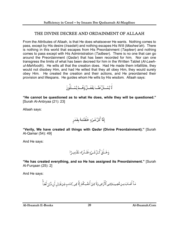## THE DIVINE DECREE AND ORDAINMENT OF ALLAAH

From the Attributes of Allaah, is that He does whatsoever He wants. Nothing comes to pass, except by His desire (*Iraadah*) and nothing escapes His Will (*Mashee'ah*). There is nothing in this world that escapes from His Preordainment (*Taqdeer*) and nothing comes to pass except with His Administration (*Tadbeer*). There is no one that can go around the Preordainment (*Qadar*) that has been recorded for him. Nor can one transgress the limits of what has been decreed for him in the Written Tablet (*Al-Lawhul-Mahfoodh*). He wills all that the creation does. Had He made them infallible, they would not disobey Him, and had He willed that they all obey Him, they would surely obey Him. He created the creation and their actions, and He preordained their provision and lifespans. He guides whom He wills by His wisdom. Allaah says:

**"He cannot be questioned as to what He does, while they will be questioned."**  [Surah Al-Anbiyaa (21): 23]

Allaah says:

إِنَّا كُلَّ شَيْءٍ خَلَقْنَدَهُ بِقَدَرٍ

**"Verily, We have created all things with** *Qadar* **(Divine Preordainment)."** [Surah Al-Qamar (54): 49]

And He says:

**"He has created everything, and so He has assigned its Preordainment."** [Surah Al-Furqaan (25): 2]

And He says:

مَـآ أَصَـابَ مِـن مُّصِيبَـةٍ فِـىٱلْأَرۡضِ وَلَا فِـىٓ أَنفُسِـكُمۡ إِلَّا فِى كِتَـٰبِ مِّن قَبَـٰل أَن ذَّبۡرَ أَهَـآ

**Al-Ibaanah E-Books Al-Ibaanah.Com 20**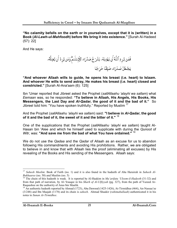**"No calamity befalls on the earth or in yourselves, except that it is (written) in a Book (***Al-Lawh-ul-Mahfoodh***) before We bring it into existence."** [Surah Al-Hadeed (57): 22]

And He says:

فَمَن يُرِدِ ٱللَّهُ أَن يَهْدِيَهُۥ يَشۡرَ حُ صَدۡرَهُۥ لِلۡإِسۡلَـٰمۡۖ وَمَن يُرِدُ أَن يُضِلَّهُۥ يَجْعَلُ صَدُرَهُ ضَيِّقًا حَرَجًا

**"And whoever Allaah wills to guide, he opens his breast (i.e. heart) to Islaam. And whoever He wills to send astray, He makes his breast (i.e. heart) closed and constricted."** [Surah Al-Ana'aam (6): 125]

Ibn 'Umar reported that Jibreel asked the Prophet (*sallAllaahu 'alayhi wa sallam*) what *Eemaan* was, so he responded: **"To believe in Allaah, His Angels, His Books, His Messengers, the Last Day and** *Al-Qadar***, the good of it and the bad of it."** So Jibreel told him: "You have spoken truthfully." Reported by Muslim  $17$ 

And the Prophet (*sallAllaahu 'alayhi wa sallam*) said: **"I believe in** *Al-Qadar***, the good of it and the bad of it, the sweet of it and the bitter of it."** <sup>18</sup>

One of the supplications that the Prophet (*sallAllaahu 'alayhi wa sallam*) taught Al-Hasan bin 'Alee and which he himself used to supplicate with during the *Qunoot* of *Witr*, was: **"And save me from the bad of what You have ordained."** <sup>19</sup>

We do not use the *Qadaa* and the *Qadar* of Allaah as an excuse for us to abandon following His commandments and avoiding His prohibitions. Rather, we are obligated to believe in and know that with Allaah lies the proof (eliminating all excuses) by His revealing of the Books and His sending of the Messengers. Allaah says:

 $\overline{a}$ <sup>17</sup> Saheeh Muslim: Book of Faith (no. 1) and it is also found in the hadeeth of Abu Hurairah in Saheeh Al-*Bukhaaree* (no. 50) and Muslim (no. 5)<br><sup>18</sup> The chain of this hadeeth is weak. It is reported by Al-Haakim in *Ma'arifatu 'Uloom-il-Hadeeth* (31-32) and

from that path of narration, by Al-'Iraaqee in his *Sharh of Al-Ulfiyyah* (pg. 327), from the path of Yazeed Ar-Raqaashee on the authority of Anas bin Maalik.

<sup>&</sup>lt;sup>19</sup> An authentic hadeeth reported by Ahmad (1723), Abu Dawood (1425-1426), At-Tirmidhee (464), An-Nassaa'ee (3/248) and Ibn Maajah (1178) and its chain is *saheeh*. Ahmad Shaakir (*rahimahullaah*) authenticated it in his notes to *Sunan At-Tirmidhee*.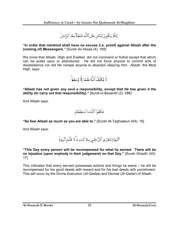لِئَلَّا يَكُونَ لِلنَّاسِ عَلَى ٱللَّهِ حُجَّةٌ بَعَْدَ ٱلرُّسُلَّ

**"In order that mankind shall have no excuse (i.e. proof) against Allaah after the (coming of) Messengers."** [Surah An-Nisaa (4): 165]

We know that Allaah, High and Exalted, did not command or forbid except that which can be acted upon or abandoned. He did not force anyone to commit acts of disobedience nor did He compel anyone to abandon obeying Him. Allaah, the Most High, says:



**"Allaah has not given any soul a responsibility, except that He has given it the ability (to carry out that responsibility)."** [Surat-ul-Baqarah (2): 286]

And Allaah says:



**"So fear Allaah as much as you are able to."** [Surah At-Taghaabun (64): 16]

And Allaah says:

ٱلۡيَوۡمَ تُجۡزَىٰ كُلُّ نَفۡسٍ بِمَا كَسَبَتۡۚ لَا ظُلُمَ ٱلۡيَوۡمَٰ

**"This Day every person will be recompensed for what he earned. There will be no injustice (upon anybody in their judgement) on that Day."** [Surah Ghaafir (40): 17]

This indicates that every servant possesses actions and things he earns – he will be recompensed for his good deeds with reward and for his bad deeds with punishment. This will occur by the Divine Execution (*Al-Qadaa*) and Decree (*Al-Qadar*) of Allaah.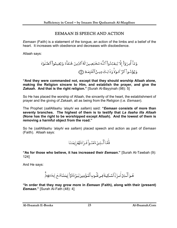## EEMAAN IS SPEECH AND ACTION

*Eemaan* (Faith) is a statement of the tongue, an action of the limbs and a belief of the heart. It increases with obedience and decreases with disobedience.

Allaah says:

وَمَآ أُمِرُوٓاْ إِلَّا لِيَعۡبُدُواْ ٱللَّهَ مُخۡلِصِينَ لَهُ ٱلدِّينَ حُنَفَآءَ وَ يُقِيمُواْ ٱلصَّلَوٰةَ وَيُؤَتُّـواْ ٱلزَّ كَـوٰةً وَذَٰلِكَ دِيـنُ ٱلْقَيّمَةِ ۞

**"And they were commanded not, except that they should worship Allaah alone, making the Religion sincere to Him, and establish the prayer, and give the**  *Zakaah***. And that is the right religion."** [Surah Al-Bayyinah (98): 5]

So He has placed the worship of Allaah, the sincerity of the heart, the establishment of prayer and the giving of *Zakaah*, all as being from the Religion (i.e. *Eemaan*).

The Prophet (*sallAllaahu 'alayhi wa sallam*) said: **"***Eemaan* **consists of more than seventy branches. The highest of them is to testify that** *La ilaaha illa Allaah* **(None has the right to be worshipped except Allaah). And the lowest of them is removing a harmful object from the road."**

So he (*sallAllaahu 'alayhi wa sallam*) placed speech and action as part of *Eemaan*  (Faith). Allaah says:

فَأَمَّا ٱلَّـٰذِينَ ءَامَنُــواْ فَــزَادَتُهُمُ إِيمَـٰنًا

**"As for those who believe, it has increased their** *Eemaan***."** [Surah At-Tawbah (9): 124]

And He says:

هُـوَ ٱلَّـذِيٓ أَنـزَلَ ٱلسَّـكِينَةَ فِـى قُلُـوبِ ٱلْمُـؤۡمِنِينَ لِـيَزُدَادُوٓا۟ إِيمَننَـامَّـعَ إيمَـننِهِمَّ

**"In order that they may grow more in** *Eemaan* **(Faith), along with their (present)**  *Eemaan***."** [Surah Al-Fath (48): 4]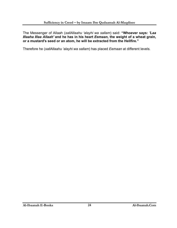The Messenger of Allaah (*sallAllaahu 'alayhi wa sallam*) said: **"Whoever says:** *'Laa Illaaha Illaa Allaah'* **and he has in his heart** *Eemaan***, the weight of a wheat grain, or a mustard's seed or an atom, he will be extracted from the Hellfire."** 

Therefore he (*sallAllaahu 'alayhi wa sallam*) has placed *Eemaan* at different levels.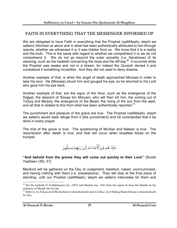## FAITH IN EVERYTHING THAT THE MESSENGER INFORMED OF

We are obligated to have Faith in everything that the Prophet (*sallAllaahu 'alayhi wa sallam*) informed us about and in what has been authentically attributed to him through reports, whether we witnessed it or it was hidden from us. We know that it is a reality and the truth. This is the same with regard to whether we comprehend it or we do not comprehend it. We do not go beyond the outer actuality (i.e. literalness) of its meaning, such as the hadeeth concerning the *Israa* and the *Mi'raaj*. 20 It occurred while the Prophet was awake and not in a dream, for indeed the Quraish denied it and considered it something incredible. And they did not used to deny dreams.

Another example of that, is when the angel of death approached Moosaa in order to take his soul. He (Moosaa) struck him and gouged his eye, so he returned to his Lord who gave him his eye back.

Another example of that: are the signs of the Hour, such as the emergence of the Dajjaal, the descent of 'Eesaa bin Maryam, who will then kill him, the coming out of Ya'jooj and Ma'jooj, the emergence of the Beast, the rising of the sun from the west, and all that is related to this from what has been authentically reported. $21$ 

The punishment and pleasure of the grave are true. The Prophet (*sallAllaahu 'alayhi wa sallam*) would seek refuge from it (the punishment) and he commanded that it be done in every prayer.

The trial of the grave is true. The questioning of Munkar and Nakeer is true. The resurrection after death is true, and that will occur when Israafeel blows on the trumpet.

فَإِذَا هُم مِّنَ ٱلْأَجُدَاثِ إِلَىٰ رَبِّهِمُ يَنسِلُونَ

**"And behold from the graves they will come out quickly to their Lord."** [Surah YaaSeen (36): 51]

Mankind will be gathered on the Day of Judgement, barefoot, naked, uncircumcised, and having nothing with them (i.e. possessions). They will stop at the final place of standing, until our Prophet (*sallAllaahu 'alayhi wa sallam*) intercedes for them and

 $\overline{a}$  $20$  See the hadeeth of Al-Bukhaaree (no. 3207) and Muslim (no. 164) from the report of Anas bin Maalik on the authority of Maalik bin Sa'sah.

<sup>21</sup> Refer to *An-Nihaayah* of Ibn Katheer (*rahimahullaah*) and *Al-Idhaa'ah* of Sideeq Hasan Khaan (*rahimahullaah*) for this.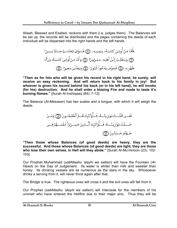Allaah, Blessed and Exalted, reckons with them (i.e. judges them). The Balances will be set up, the records will be distributed and the pages containing the deeds of each individual will be dispersed into the right hands and the left hands.

> فَأَمَّا مَنْ أُوتِيَ كِتَنبَهُۥ بِيَمِينِهِۦ ۞ فَسَوُفَ يُحَاسَبُ حِسَابًا يَسِيرًا ۞ وَيَنقَلِبُ إِلَىٰٓ أَهۡلِهِۦ مَسۡرُورًا ۞ وَأَمَّا مَنۡ أُوتِيَ كِتَـٰبَـهُۥ وَرَآءَ ظَهُرِهِۦ ۞ فَسَوُفَ يَدُعُواْ ثُبُورًا ۞ وَيَصُلَىٰ سَعِيرًا ۞

**"Then as for him who will be given his record in his right hand, he surely, will receive an easy reckoning. And will return back to his family in joy! But whoever is given his record behind his back (or in his left hand), he will invoke (for his) destruction. And he shall enter a blazing Fire and made to taste it's burning flames."** [Surah Al-Inshiqaaq (84): 7-12]

The Balance (*Al-Meezaan*) has two scales and a tongue, with which it will weigh the deeds.

فَمَّـن تَقُلَـتُ مَوَرِيئُــهُءِ فَـ أُوُلَدَّبِكَ هُـمُرُالُمُفُلِحُــونَ ृॊ॒ وَمَ–نُ
$$
-ََـَيِنَ خَسِـرُوَاٌ أَنفُسَـَهُمُ فِــى  
جَـمَنَّمَ خَـِلِدُونَ ृृऱे
$$

**"Then those whose Balances (of good deeds) are heavy, they are the successful. And those whose Balances (of good deeds) are light, they are those who lose their own selves, in Hell will they abide."** [Surah Al-Mu'minoon (23): 102- 103]

Our Prophet Muhammad (*sallAllaahu 'alayhi wa sallam*) will have the Fountain (*Al-Hawd*) on the Day of Judgement. Its water is whiter than milk and sweeter than honey. Its drinking vessels are as numerous as the stars in the sky. Whosoever drinks a serving from it, will never thirst again after that.

The Bridge is true. The righteous ones will cross it and the evil ones will fall from it.

Our Prophet (*sallAllaahu 'alayhi wa sallam*) will intercede for the members of his *ummah* who have entered the Hellfire due to their major sins. Thus they will be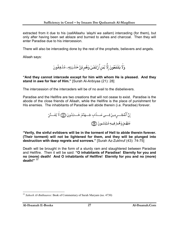extracted from it due to his (*sallAllaahu 'alayhi wa sallam*) interceding (for them), but only after having been set ablaze and burned to ashes and charcoal. Then they will enter Paradise due to his intercession.

There will also be interceding done by the rest of the prophets, believers and angels.

Allaah says:

وَلَا يَشْفَعُونَ إِلَّا لِمَن ٱرْتَضَىٰ وَهُم مِّنَّ خَشَّيَتِهِۦ مُشۡفِقُونَ

**"And they cannot intercede except for him with whom He is pleased. And they stand in awe for fear of Him."** [Surah Al-Anbiyaa (21): 28]

The intercession of the interceders will be of no avail to the disbelievers.

Paradise and the Hellfire are two creations that will not cease to exist. Paradise is the abode of the close friends of Allaah, while the Hellfire is the place of punishment for His enemies. The inhabitants of Paradise will abide therein (i.e. Paradise) forever.

**"Verily, the sinful evildoers will be in the torment of Hell to abide therein forever. (Their torment) will not be lightened for them, and they will be plunged into destruction with deep regrets and sorrows."** [Surah Az-Zukhruf (43): 74-75]

Death will be brought in the form of a sturdy ram and slaughtered between Paradise and Hellfire. Then it will be said: **"O inhabitants of Paradise! Eternity for you and no (more) death! And O inhabitants of Hellfire! Eternity for you and no (more) death!"** <sup>22</sup>

 $\overline{a}$ <sup>22</sup> *Saheeh Al-Bukhaaree*: Book of Commentary of Surah Maryam (no. 4730)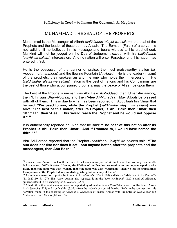# MUHAMMAD, THE SEAL OF THE PROPHETS

Muhammad is the Messenger of Allaah (*sallAllaahu 'alayhi wa sallam*), the seal of the Prophets and the leader of those sent by Allaah. The Eemaan (Faith) of a servant is not valid until he believes in his message and bears witness to his prophethood. Mankind will not be judged on the Day of Judgement except with his (*sallAllaahu 'alayhi wa sallam*) intercession. And no nation will enter Paradise, until his nation has entered it first.

He is the possessor of the banner of praise, the most praiseworthy station (*almaqaam-ul-mahmood*) and the flowing Fountain (*Al-Hawd*). He is the leader (Imaam) of the prophets, their spokesman and the one who holds their intercession. His (*sallAllaahu 'alayhi wa sallam*) nation is the best of nations and his Companions are the best of those who accompanied prophets, may the peace of Allaah be upon them.

The best of the Prophet's ummah was Abu Bakr *As-Siddeeq*, then 'Umar *Al-Faarooq*, then 'Uthmaan *Dhun-Noorain*, and then 'Alee *Al-Murtadaa*. May Allaah be pleased with all of them. This is due to what has been reported on 'Abdullaah bin 'Umar that he said: **"We used to say, while the Prophet** (*sallAllaahu 'alayhi wa sallam*) **was alive: 'The best of this nation, after its Prophet**, **is Abu Bakr, then 'Umar, then 'Uthmaan, then 'Alee.' This would reach the Prophet and he would not oppose it."** <sup>23</sup>

It is authentically reported on 'Alee that he said: **"The best of this nation after its Prophet is Abu Bakr, then 'Umar. And if I wanted to, I would have named the third."** <sup>24</sup>

Abu Ad-Dardaa reported that the Prophet (*sallAllaahu 'alayhi wa sallam*) said: **"The sun does not rise nor does it set upon anyone better, after the prophets and the messengers, than Abu Bakr."** <sup>25</sup>

<sup>&</sup>lt;sup>23</sup> Saheeh Al-Bukhaaree: Book of the Virtues of the Companions (no. 3655). And in another wording found in Al-Bukhaaree (no. 3697), it states: **"During the lifetime of the Prophet, we used to not put anyone equal to Abu Bakr, then (the same was with) 'Umar, then (the same was with) 'Uthmaan. Then we left the (remaining) Companions of the Prophet alone, not distinguishing between any of them."**

<sup>24</sup> An authentic narration reported by Ahmad in his *Musnad* (1/106 & 110) and his son 'Abdullaah in his *Zawaa'id*  (1/10620110 & 127). Ibn Abee 'Aasim also reported it in the book *As-Sunnah* (1201) and Al-Albaanee authenticated it in his checking of *As-Sunnah* (2/570)<br><sup>25</sup> A hadeeth with a weak chain of narration reported by Ahmad in *Fadaa'il-us-Sahaabah* (135), Ibn Abee 'Aasim

in *As-Sunnah* (1224) and Abu Nu'aim (3/325) from the hadeeth of Abu Ad-Dardaa. Refer to the comments on this narration found in the checking of *Fadaa'il-us-Sahaabah* of Imaam Ahmad with the notes of Wasiyullaah bin Muhammad bin 'Abbaas (1/152-153).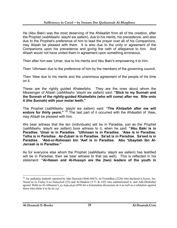He (Abu Bakr) was the most deserving of the *Khilaafah* from all of the creation, after the Prophet (*sallAllaahu 'alayhi wa sallam*), due to his merits, his precedence, and also due to the Prophet's preference of him to lead the prayer over all of his Companions, may Allaah be pleased with them. It is also due to the unity in agreement of the Companions upon his precedence and giving the oath of allegiance to him. And Allaah would not have united them in agreement upon something erroneous.

Then after him was 'Umar, due to his merits and Abu Bakr's empowering it to him.

Then 'Uthmaan due to the preference of him by the members of the governing council.

Then 'Alee due to his merits and the unanimous agreement of the people of his time on it.

These are the rightly guided *Khaleefahs*. They are the ones about whom the Messenger of Allaah (*sallAllaahu 'alayhi wa sallam*) said: **"Stick to my Sunnah and the Sunnah of the rightly-guided** *Khaleefahs* **(who will come) after me. Bite onto it (the Sunnah) with your molar teeth."**

The Prophet (*sallAllaahu 'alayhi wa sallam*) said: **"The** *Khilaafah* **after me will endure for thirty years."** <sup>26</sup> The last part of it occurred with the *Khilaafah* of 'Alee, may Allaah be pleased with him.

We bear witness that the ten (individuals) will be in Paradise, just as the Prophet (*sallAllaahu 'alayhi wa sallam*) bore witness to it, when he said: **"Abu Bakr is in Paradise. 'Umar is in Paradise. 'Uthmaan is in Paradise. 'Alee is in Paradise. Talha is in Paradise. Az-Zubair is in Paradise. Sa'ad is in Paradise. Sa'eed is in Paradise. 'Abd-ur-Rahmaan bin 'Awf is in Paradise. Abu 'Ubaydah Ibn Al-Jarraah is in Paradise."** 

As for everyone else whom the Prophet (*sallAllaahu 'alayhi wa sallam*) has testified will be in Paradise, then we bear witness to that (as well). This is reflected in his statement: **"Al-Hasan and Al-Husayn are the (two) leaders of the youth in** 

<sup>26</sup> An authentic hadeeth reported by Abu Dawood (4646-4647), At-Tirmidhee (2226) who declared it *hasan*, An-Nasaa'ee in *Fadaa'il-us-Sahaabah* (52) and Al-Haakim (3/71 & 145) who authenticated it, and Adh-Dhahabee agreed. Refer to Al-Albaanee's *As-Saheehah* (459) for a tremendous discussion on it as well as a refutation against those who claim it to be *da'eef*.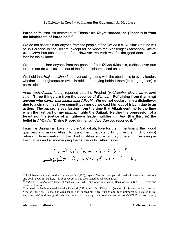**Paradise."**<sup>27</sup> And his statement to Thaabit bin Qays: **"Indeed, he (Thaabit) is from the inhabitants of Paradise."** <sup>28</sup>

We do not ascertain for anyone from the people of the *Qiblah* (i.e. Muslims) that he will be in Paradise or the Hellfire, except for he whom the Messenger (*sallAllaahu 'alayhi wa sallam*) has ascertained it for. However, we wish well for the good-doer and we fear for the evildoer.

We do not declare anyone from the people of our *Qiblah* (Muslims) a disbeliever due to a sin nor do we cast him out of the fold of Islaam based on a deed.

We hold that *Hajj* and *Jihaad* are everlasting along with the obedience to every leader, whether he is righteous or evil. In addition, praying behind them (in congregation) is permissible.

Anas (*radyAllaahu 'anhu*) reported that the Prophet (*sallAllaahu 'alayhi wa sallam*) said: **"Three things are from the essence of** *Eemaan***: Refraining from (harming) anyone who says:** *'Laa Ilaaha Illaa Allaah'***. We do not declare him a disbeliever due to a sin (he may have committed) nor do we cast him out of Islaam due to an action. The** *Jihaad* **is everlasting from the time that Allaah sent me to the time when the last part of my** *ummah* **fights the Dajjaal. Neither the oppression of a tyrant nor the justice of a righteous leader nullifies it. And (the third is) the belief in** *Al-Qadar* **(Divine Preordainment)."** Abu Dawood reported it. <sup>29</sup>

From the Sunnah is: Loyalty to the Sahaabah, love for them, mentioning their good qualities, and asking Allaah to grant them mercy and to forgive them. And (also) refraining from mentioning their bad qualities and what they differed in, believing in their virtues and acknowledging their superiority. Allaah says:

> وَٱلَّــذِينَ جَــــأَمُو مِـــنُ بَعُـــدِهِمْ يَقُولُـــونَ رَبَّنَــا ٱغْفِـــرُ لَنَـــا وَلإخُوَّذِنَـا ٱلَّـذِينَ سَـبَقُونَا بِــٱلْإِيمَـٰنِ وَلَا تَجُــعَلُ فِــى قُلُوبِنَـا غِلَّا لِّلَّــذِينَ ءَامَنُــواْ

<sup>&</sup>lt;sup>27</sup> Al-Albaanee authenticated it in *As-Saheehah* (796), saying: "For the most part, the hadeeth is authentic, without any doubt about it. Rather, it is *mutawaatir* as has been stated by Al-Manaawee."

<sup>&</sup>lt;sup>28</sup> Saheeh Al-Bukhaaree: Book of Virtues (no. 3613) and *Saheeh Muslim*: Book of Faith (no. 119) from the hadeeth of Anas.

<sup>&</sup>lt;sup>29</sup> A weak hadeeth reported by Abu Dawood (2532) and Abu 'Ubayd Al-Qaasim bin Salaam in his book Al-*Eemaan* (pg. 47). Its chain is weak for in it is Yazeed bin Abee Nushba and he is unknown as is stated in *At-Taqreeb*. Al-Mundhiree graded its chain weak in his abridgement to *Sunan Abu Dawood* (3/380) for this reason.]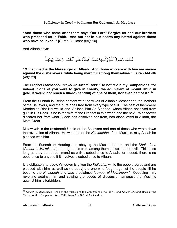**"And those who came after them say: 'Our Lord! Forgive us and our brothers who preceded us in Faith. And put not in our hearts any hatred against those who have believed.'"** [Surah Al-Hashr (59): 10]

And Allaah says:

مُّحَمَّدٌ رَّسُولُٱللَّهِۚ وَٱلَّذِينَ مَعَـهُۥٓ أَشِـدَّآءُ عَلَـىٱلۡكُفَّـار رُحَمَآءُ بَيَّنَهُمَّ

**"Muhammad is the Messenger of Allaah. And those who are with him are severe against the disbelievers, while being merciful among themselves."** [Surah Al-Fath (48): 29]

The Prophet (*sallAllaahu 'alayhi wa sallam*) said: **"Do not revile my Companions, for indeed if one of you were to give in charity, the equivalent of mount Uhud in gold, it would not reach a** *mudd* **(handful) of one of them, nor even half of it."** <sup>30</sup>

From the Sunnah is: Being content with the wives of Allaah's Messenger, the Mothers of the Believers, and the pure ones free from every type of evil. The best of them were Khadeejah Bint Khuwailid and 'Aa'isha Bint As-Siddeeq, whom Allaah absolved from guilt in His Book. She is the wife of the Prophet in this world and the next. Whosoever discards her from what Allaah has absolved her from, has disbelieved in Allaah, the Most Great.

Mu'awiyah is the (maternal) Uncle of the Believers and one of those who wrote down the revelation of Allaah. He was one of the *Khaleefahs* of the Muslims, may Allaah be pleased with him.

From the Sunnah is: Hearing and obeying the Muslim leaders and the *Khaleefahs*  (*Ameer-ul-Mu'mineen*), the righteous from among them as well as the evil. This is so long as they do not command us with disobedience to Allaah, for indeed, there is no obedience to anyone if it involves disobedience to Allaah.

It is obligatory to obey: Whoever is given the *Khilaafah* while the people agree and are pleased with him, as well as (to obey) the one who fought against the people till he became the *Khaleefah* and was proclaimed "*Ameer-ul-Mu'mineen*." Opposing him, revolting against him and sowing the seeds of dissension amongst the Muslims against him is forbidden.

<sup>30</sup> *Saheeh Al-Bukhaaree*: Book of the Virtues of the Companions (no. 3673) and *Saheeh Muslim*: Book of the Virtues of the Companions (no. 2541) from Abu Sa'eed Al-Khudree.